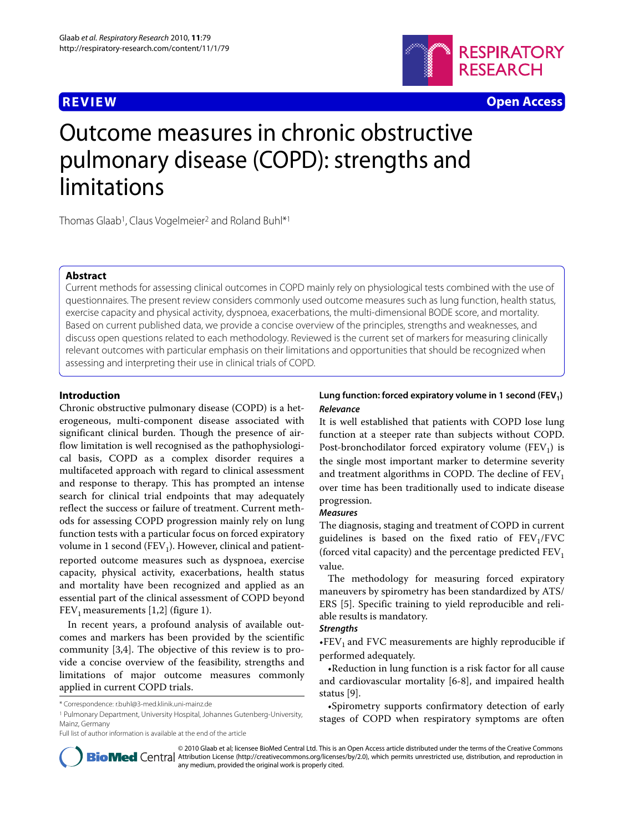

**REVIEW Open Access**

# Outcome measures in chronic obstructive pulmonary disease (COPD): strengths and limitations

Thomas Glaab<sup>1</sup>, Claus Vogelmeier<sup>2</sup> and Roland Buhl<sup>\*1</sup>

## **Abstract**

Current methods for assessing clinical outcomes in COPD mainly rely on physiological tests combined with the use of questionnaires. The present review considers commonly used outcome measures such as lung function, health status, exercise capacity and physical activity, dyspnoea, exacerbations, the multi-dimensional BODE score, and mortality. Based on current published data, we provide a concise overview of the principles, strengths and weaknesses, and discuss open questions related to each methodology. Reviewed is the current set of markers for measuring clinically relevant outcomes with particular emphasis on their limitations and opportunities that should be recognized when assessing and interpreting their use in clinical trials of COPD.

## **Introduction**

Chronic obstructive pulmonary disease (COPD) is a heterogeneous, multi-component disease associated with significant clinical burden. Though the presence of airflow limitation is well recognised as the pathophysiological basis, COPD as a complex disorder requires a multifaceted approach with regard to clinical assessment and response to therapy. This has prompted an intense search for clinical trial endpoints that may adequately reflect the success or failure of treatment. Current methods for assessing COPD progression mainly rely on lung function tests with a particular focus on forced expiratory volume in 1 second (FEV<sub>1</sub>). However, clinical and patientreported outcome measures such as dyspnoea, exercise capacity, physical activity, exacerbations, health status and mortality have been recognized and applied as an essential part of the clinical assessment of COPD beyond  $FEV<sub>1</sub>$  $FEV<sub>1</sub>$  $FEV<sub>1</sub>$  measurements [1,[2\]](#page-8-1) (figure 1).

In recent years, a profound analysis of available outcomes and markers has been provided by the scientific community [\[3](#page-8-2)[,4](#page-8-3)]. The objective of this review is to provide a concise overview of the feasibility, strengths and limitations of major outcome measures commonly applied in current COPD trials.

1 Pulmonary Department, University Hospital, Johannes Gutenberg-University, Mainz, Germany

Full list of author information is available at the end of the article

## Lung function: forced expiratory volume in 1 second (FEV<sub>1</sub>) **Relevance**

It is well established that patients with COPD lose lung function at a steeper rate than subjects without COPD. Post-bronchodilator forced expiratory volume  $(FEV_1)$  is the single most important marker to determine severity and treatment algorithms in COPD. The decline of  $FEV<sub>1</sub>$ over time has been traditionally used to indicate disease progression.

## **Measures**

The diagnosis, staging and treatment of COPD in current guidelines is based on the fixed ratio of  $FEV<sub>1</sub>/FVC$ (forced vital capacity) and the percentage predicted  $FEV<sub>1</sub>$ value.

The methodology for measuring forced expiratory maneuvers by spirometry has been standardized by ATS/ ERS [\[5](#page-8-4)]. Specific training to yield reproducible and reliable results is mandatory.

## **Strengths**

 $\cdot$ FEV<sub>1</sub> and FVC measurements are highly reproducible if performed adequately.

•Reduction in lung function is a risk factor for all cause and cardiovascular mortality [\[6](#page-8-5)-[8\]](#page-8-6), and impaired health status [\[9\]](#page-8-7).

•Spirometry supports confirmatory detection of early stages of COPD when respiratory symptoms are often



© 2010 Glaab et al; licensee BioMed Central Ltd. This is an Open Access article distributed under the terms of the Creative Commons **BioMed** Central Attribution License (http://creativecommons.org/licenses/by/2.0), which permits unrestricted use, distribution, and reproduction in any medium, provided the original work is properly cited.

<sup>\*</sup> Correspondence: r.buhl@3-med.klinik.uni-mainz.de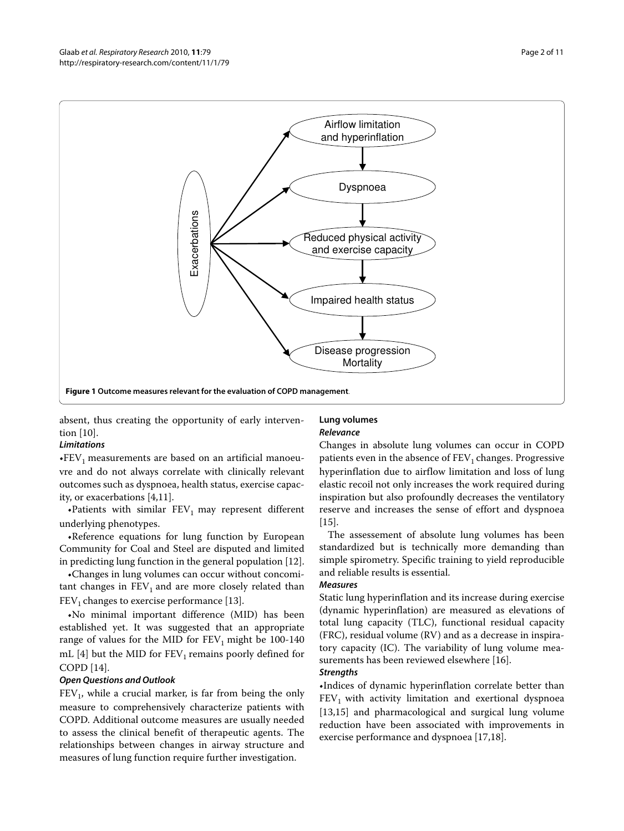<span id="page-1-0"></span>

absent, thus creating the opportunity of early intervention [[10](#page-8-8)].

## **Limitations**

 $\cdot$ FEV<sub>1</sub> measurements are based on an artificial manoeuvre and do not always correlate with clinically relevant outcomes such as dyspnoea, health status, exercise capacity, or exacerbations [[4,](#page-8-3)[11\]](#page-8-9).

•Patients with similar  $FEV_1$  may represent different underlying phenotypes.

•Reference equations for lung function by European Community for Coal and Steel are disputed and limited in predicting lung function in the general population [\[12](#page-8-10)].

•Changes in lung volumes can occur without concomitant changes in  $FEV<sub>1</sub>$  and are more closely related than  $FEV<sub>1</sub>$  changes to exercise performance [[13\]](#page-8-11).

•No minimal important difference (MID) has been established yet. It was suggested that an appropriate range of values for the MID for  $FEV_1$  might be 100-140 mL [\[4](#page-8-3)] but the MID for  $FEV<sub>1</sub>$  remains poorly defined for COPD [\[14](#page-8-12)].

## **Open Questions and Outlook**

 $FEV<sub>1</sub>$ , while a crucial marker, is far from being the only measure to comprehensively characterize patients with COPD. Additional outcome measures are usually needed to assess the clinical benefit of therapeutic agents. The relationships between changes in airway structure and measures of lung function require further investigation.

## **Lung volumes Relevance**

Changes in absolute lung volumes can occur in COPD patients even in the absence of  $FEV<sub>1</sub>$  changes. Progressive hyperinflation due to airflow limitation and loss of lung elastic recoil not only increases the work required during inspiration but also profoundly decreases the ventilatory reserve and increases the sense of effort and dyspnoea [[15\]](#page-8-13).

The assessement of absolute lung volumes has been standardized but is technically more demanding than simple spirometry. Specific training to yield reproducible and reliable results is essential.

## **Measures**

Static lung hyperinflation and its increase during exercise (dynamic hyperinflation) are measured as elevations of total lung capacity (TLC), functional residual capacity (FRC), residual volume (RV) and as a decrease in inspiratory capacity (IC). The variability of lung volume measurements has been reviewed elsewhere [[16\]](#page-8-14). **Strengths**

•Indices of dynamic hyperinflation correlate better than  $FEV<sub>1</sub>$  with activity limitation and exertional dyspnoea [[13,](#page-8-11)[15\]](#page-8-13) and pharmacological and surgical lung volume reduction have been associated with improvements in exercise performance and dyspnoea [\[17,](#page-8-15)[18\]](#page-8-16).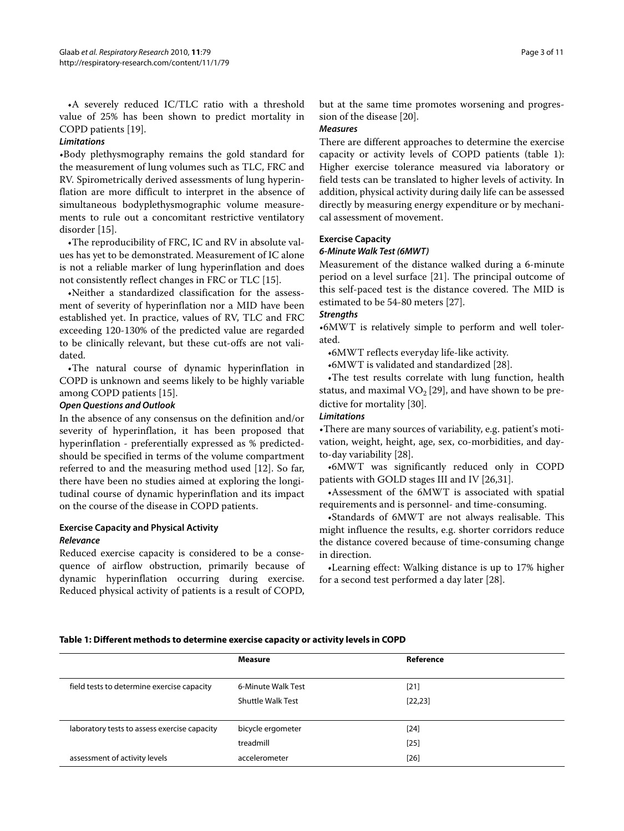•A severely reduced IC/TLC ratio with a threshold value of 25% has been shown to predict mortality in COPD patients [\[19](#page-8-17)].

## **Limitations**

•Body plethysmography remains the gold standard for the measurement of lung volumes such as TLC, FRC and RV. Spirometrically derived assessments of lung hyperinflation are more difficult to interpret in the absence of simultaneous bodyplethysmographic volume measurements to rule out a concomitant restrictive ventilatory disorder [\[15](#page-8-13)].

•The reproducibility of FRC, IC and RV in absolute values has yet to be demonstrated. Measurement of IC alone is not a reliable marker of lung hyperinflation and does not consistently reflect changes in FRC or TLC [\[15](#page-8-13)].

•Neither a standardized classification for the assessment of severity of hyperinflation nor a MID have been established yet. In practice, values of RV, TLC and FRC exceeding 120-130% of the predicted value are regarded to be clinically relevant, but these cut-offs are not validated.

•The natural course of dynamic hyperinflation in COPD is unknown and seems likely to be highly variable among COPD patients [[15](#page-8-13)].

## **Open Questions and Outlook**

In the absence of any consensus on the definition and/or severity of hyperinflation, it has been proposed that hyperinflation - preferentially expressed as % predictedshould be specified in terms of the volume compartment referred to and the measuring method used [[12\]](#page-8-10). So far, there have been no studies aimed at exploring the longitudinal course of dynamic hyperinflation and its impact on the course of the disease in COPD patients.

## **Exercise Capacity and Physical Activity Relevance**

Reduced exercise capacity is considered to be a consequence of airflow obstruction, primarily because of dynamic hyperinflation occurring during exercise. Reduced physical activity of patients is a result of COPD,

## **Measures**

There are different approaches to determine the exercise capacity or activity levels of COPD patients (table 1): Higher exercise tolerance measured via laboratory or field tests can be translated to higher levels of activity. In addition, physical activity during daily life can be assessed directly by measuring energy expenditure or by mechanical assessment of movement.

### **Exercise Capacity**

## **6-Minute Walk Test (6MWT)**

Measurement of the distance walked during a 6-minute period on a level surface [[21\]](#page-8-19). The principal outcome of this self-paced test is the distance covered. The MID is estimated to be 54-80 meters [[27](#page-8-25)].

## **Strengths**

•6MWT is relatively simple to perform and well tolerated.

•6MWT reflects everyday life-like activity.

•6MWT is validated and standardized [[28\]](#page-8-26).

•The test results correlate with lung function, health status, and maximal  $VO<sub>2</sub>$  [\[29](#page-8-27)], and have shown to be predictive for mortality [[30\]](#page-8-28).

## **Limitations**

•There are many sources of variability, e.g. patient's motivation, weight, height, age, sex, co-morbidities, and dayto-day variability [\[28](#page-8-26)].

•6MWT was significantly reduced only in COPD patients with GOLD stages III and IV [[26,](#page-8-24)[31\]](#page-8-29).

•Assessment of the 6MWT is associated with spatial requirements and is personnel- and time-consuming.

•Standards of 6MWT are not always realisable. This might influence the results, e.g. shorter corridors reduce the distance covered because of time-consuming change in direction.

•Learning effect: Walking distance is up to 17% higher for a second test performed a day later [[28](#page-8-26)].

## **Table 1: Different methods to determine exercise capacity or activity levels in COPD**

|                                              | <b>Measure</b>           | Reference |
|----------------------------------------------|--------------------------|-----------|
| field tests to determine exercise capacity   | 6-Minute Walk Test       | $[21]$    |
|                                              | <b>Shuttle Walk Test</b> | [22, 23]  |
|                                              |                          |           |
| laboratory tests to assess exercise capacity | bicycle ergometer        | $[24]$    |
|                                              | treadmill                | $[25]$    |
| assessment of activity levels                | accelerometer            | $[26]$    |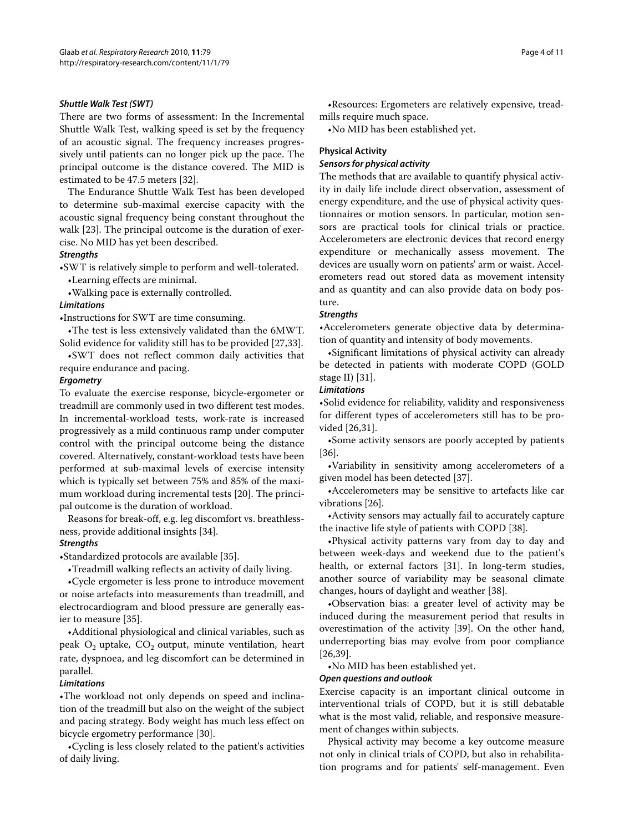## **Shuttle Walk Test (SWT)**

There are two forms of assessment: In the Incremental Shuttle Walk Test, walking speed is set by the frequency of an acoustic signal. The frequency increases progressively until patients can no longer pick up the pace. The principal outcome is the distance covered. The MID is estimated to be 47.5 meters [\[32](#page-9-0)].

The Endurance Shuttle Walk Test has been developed to determine sub-maximal exercise capacity with the acoustic signal frequency being constant throughout the walk [[23](#page-8-21)]. The principal outcome is the duration of exercise. No MID has yet been described.

## **Strengths**

•SWT is relatively simple to perform and well-tolerated.

•Learning effects are minimal.

•Walking pace is externally controlled.

## **Limitations**

•Instructions for SWT are time consuming.

•The test is less extensively validated than the 6MWT. Solid evidence for validity still has to be provided [\[27](#page-8-25)[,33](#page-9-1)].

•SWT does not reflect common daily activities that require endurance and pacing.

## **Ergometry**

To evaluate the exercise response, bicycle-ergometer or treadmill are commonly used in two different test modes. In incremental-workload tests, work-rate is increased progressively as a mild continuous ramp under computer control with the principal outcome being the distance covered. Alternatively, constant-workload tests have been performed at sub-maximal levels of exercise intensity which is typically set between 75% and 85% of the maximum workload during incremental tests [\[20](#page-8-18)]. The principal outcome is the duration of workload.

Reasons for break-off, e.g. leg discomfort vs. breathlessness, provide additional insights [[34\]](#page-9-2).

## **Strengths**

•Standardized protocols are available [\[35](#page-9-3)].

•Treadmill walking reflects an activity of daily living.

•Cycle ergometer is less prone to introduce movement or noise artefacts into measurements than treadmill, and electrocardiogram and blood pressure are generally easier to measure [[35](#page-9-3)].

•Additional physiological and clinical variables, such as peak  $O_2$  uptake,  $CO_2$  output, minute ventilation, heart rate, dyspnoea, and leg discomfort can be determined in parallel.

## **Limitations**

•The workload not only depends on speed and inclination of the treadmill but also on the weight of the subject and pacing strategy. Body weight has much less effect on bicycle ergometry performance [\[30\]](#page-8-28).

•Cycling is less closely related to the patient's activities of daily living.

•Resources: Ergometers are relatively expensive, treadmills require much space.

•No MID has been established yet.

## **Physical Activity**

## **Sensors for physical activity**

The methods that are available to quantify physical activity in daily life include direct observation, assessment of energy expenditure, and the use of physical activity questionnaires or motion sensors. In particular, motion sensors are practical tools for clinical trials or practice. Accelerometers are electronic devices that record energy expenditure or mechanically assess movement. The devices are usually worn on patients' arm or waist. Accelerometers read out stored data as movement intensity and as quantity and can also provide data on body posture.

## **Strengths**

•Accelerometers generate objective data by determination of quantity and intensity of body movements.

•Significant limitations of physical activity can already be detected in patients with moderate COPD (GOLD stage II) [\[31\]](#page-8-29).

## **Limitations**

•Solid evidence for reliability, validity and responsiveness for different types of accelerometers still has to be provided [[26](#page-8-24),[31\]](#page-8-29).

•Some activity sensors are poorly accepted by patients [[36\]](#page-9-4).

•Variability in sensitivity among accelerometers of a given model has been detected [[37\]](#page-9-5).

•Accelerometers may be sensitive to artefacts like car vibrations [\[26\]](#page-8-24).

•Activity sensors may actually fail to accurately capture the inactive life style of patients with COPD [[38](#page-9-6)].

•Physical activity patterns vary from day to day and between week-days and weekend due to the patient's health, or external factors [\[31](#page-8-29)]. In long-term studies, another source of variability may be seasonal climate changes, hours of daylight and weather [[38\]](#page-9-6).

•Observation bias: a greater level of activity may be induced during the measurement period that results in overestimation of the activity [\[39](#page-9-7)]. On the other hand, underreporting bias may evolve from poor compliance [[26,](#page-8-24)[39\]](#page-9-7).

•No MID has been established yet.

## **Open questions and outlook**

Exercise capacity is an important clinical outcome in interventional trials of COPD, but it is still debatable what is the most valid, reliable, and responsive measurement of changes within subjects.

Physical activity may become a key outcome measure not only in clinical trials of COPD, but also in rehabilitation programs and for patients' self-management. Even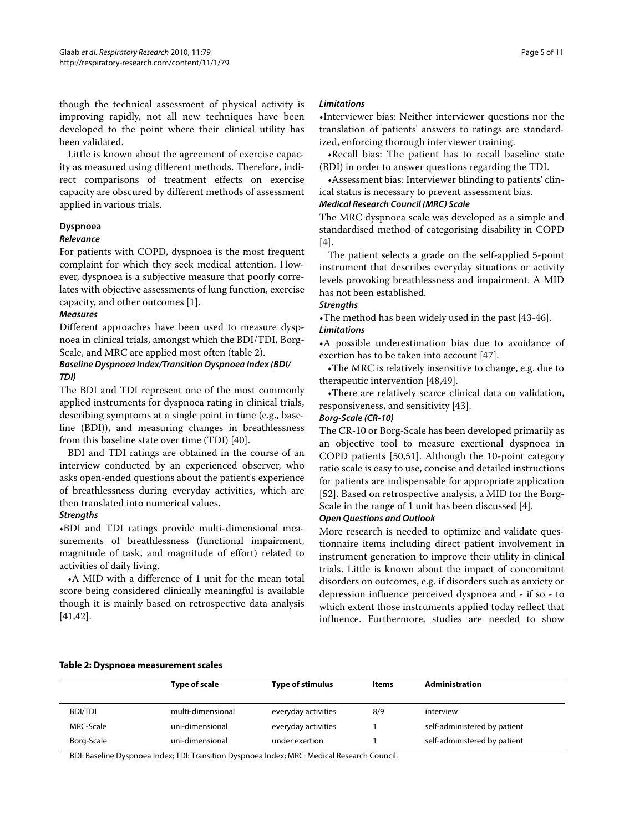though the technical assessment of physical activity is improving rapidly, not all new techniques have been developed to the point where their clinical utility has been validated.

Little is known about the agreement of exercise capacity as measured using different methods. Therefore, indirect comparisons of treatment effects on exercise capacity are obscured by different methods of assessment applied in various trials.

## **Dyspnoea**

## **Relevance**

For patients with COPD, dyspnoea is the most frequent complaint for which they seek medical attention. However, dyspnoea is a subjective measure that poorly correlates with objective assessments of lung function, exercise capacity, and other outcomes [\[1](#page-8-0)].

## **Measures**

Different approaches have been used to measure dyspnoea in clinical trials, amongst which the BDI/TDI, Borg-Scale, and MRC are applied most often (table 2).

## **Baseline Dyspnoea Index/Transition Dyspnoea Index (BDI/ TDI)**

The BDI and TDI represent one of the most commonly applied instruments for dyspnoea rating in clinical trials, describing symptoms at a single point in time (e.g., baseline (BDI)), and measuring changes in breathlessness from this baseline state over time (TDI) [\[40](#page-9-8)].

BDI and TDI ratings are obtained in the course of an interview conducted by an experienced observer, who asks open-ended questions about the patient's experience of breathlessness during everyday activities, which are then translated into numerical values.

## **Strengths**

•BDI and TDI ratings provide multi-dimensional measurements of breathlessness (functional impairment, magnitude of task, and magnitude of effort) related to activities of daily living.

•A MID with a difference of 1 unit for the mean total score being considered clinically meaningful is available though it is mainly based on retrospective data analysis [[41,](#page-9-9)[42\]](#page-9-10).

## **Limitations**

•Interviewer bias: Neither interviewer questions nor the translation of patients' answers to ratings are standardized, enforcing thorough interviewer training.

•Recall bias: The patient has to recall baseline state (BDI) in order to answer questions regarding the TDI.

•Assessment bias: Interviewer blinding to patients' clinical status is necessary to prevent assessment bias.

## **Medical Research Council (MRC) Scale**

The MRC dyspnoea scale was developed as a simple and standardised method of categorising disability in COPD [[4\]](#page-8-3).

The patient selects a grade on the self-applied 5-point instrument that describes everyday situations or activity levels provoking breathlessness and impairment. A MID has not been established.

## **Strengths**

•The method has been widely used in the past [[43-](#page-9-11)[46\]](#page-9-12). **Limitations**

•A possible underestimation bias due to avoidance of exertion has to be taken into account [[47\]](#page-9-13).

•The MRC is relatively insensitive to change, e.g. due to therapeutic intervention [[48,](#page-9-14)[49\]](#page-9-15).

•There are relatively scarce clinical data on validation, responsiveness, and sensitivity [[43](#page-9-11)].

## **Borg-Scale (CR-10)**

The CR-10 or Borg-Scale has been developed primarily as an objective tool to measure exertional dyspnoea in COPD patients [[50,](#page-9-16)[51\]](#page-9-17). Although the 10-point category ratio scale is easy to use, concise and detailed instructions for patients are indispensable for appropriate application [[52\]](#page-9-18). Based on retrospective analysis, a MID for the Borg-Scale in the range of 1 unit has been discussed [\[4](#page-8-3)].

## **Open Questions and Outlook**

More research is needed to optimize and validate questionnaire items including direct patient involvement in instrument generation to improve their utility in clinical trials. Little is known about the impact of concomitant disorders on outcomes, e.g. if disorders such as anxiety or depression influence perceived dyspnoea and - if so - to which extent those instruments applied today reflect that influence. Furthermore, studies are needed to show

#### **Table 2: Dyspnoea measurement scales**

|            | <b>Type of scale</b> | <b>Type of stimulus</b> | Items | <b>Administration</b>        |
|------------|----------------------|-------------------------|-------|------------------------------|
| BDI/TDI    | multi-dimensional    | everyday activities     | 8/9   | interview                    |
| MRC-Scale  | uni-dimensional      | everyday activities     |       | self-administered by patient |
| Borg-Scale | uni-dimensional      | under exertion          |       | self-administered by patient |

BDI: Baseline Dyspnoea Index; TDI: Transition Dyspnoea Index; MRC: Medical Research Council.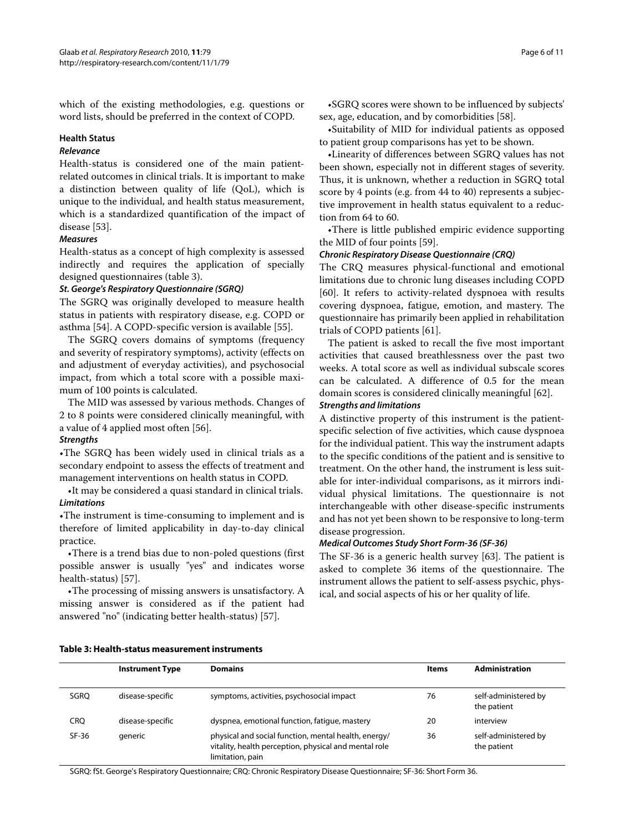which of the existing methodologies, e.g. questions or word lists, should be preferred in the context of COPD.

## **Health Status**

## **Relevance**

Health-status is considered one of the main patientrelated outcomes in clinical trials. It is important to make a distinction between quality of life (QoL), which is unique to the individual, and health status measurement, which is a standardized quantification of the impact of disease [\[53](#page-9-19)].

## **Measures**

Health-status as a concept of high complexity is assessed indirectly and requires the application of specially designed questionnaires (table 3).

## **St. George's Respiratory Questionnaire (SGRQ)**

The SGRQ was originally developed to measure health status in patients with respiratory disease, e.g. COPD or asthma [[54\]](#page-9-20). A COPD-specific version is available [\[55](#page-9-21)].

The SGRQ covers domains of symptoms (frequency and severity of respiratory symptoms), activity (effects on and adjustment of everyday activities), and psychosocial impact, from which a total score with a possible maximum of 100 points is calculated.

The MID was assessed by various methods. Changes of 2 to 8 points were considered clinically meaningful, with a value of 4 applied most often [[56](#page-9-22)].

## **Strengths**

•The SGRQ has been widely used in clinical trials as a secondary endpoint to assess the effects of treatment and management interventions on health status in COPD.

•It may be considered a quasi standard in clinical trials. **Limitations**

•The instrument is time-consuming to implement and is therefore of limited applicability in day-to-day clinical practice.

•There is a trend bias due to non-poled questions (first possible answer is usually "yes" and indicates worse health-status) [\[57](#page-9-23)].

•The processing of missing answers is unsatisfactory. A missing answer is considered as if the patient had answered "no" (indicating better health-status) [[57](#page-9-23)].

•SGRQ scores were shown to be influenced by subjects' sex, age, education, and by comorbidities [\[58\]](#page-9-24).

•Suitability of MID for individual patients as opposed to patient group comparisons has yet to be shown.

•Linearity of differences between SGRQ values has not been shown, especially not in different stages of severity. Thus, it is unknown, whether a reduction in SGRQ total score by 4 points (e.g. from 44 to 40) represents a subjective improvement in health status equivalent to a reduction from 64 to 60.

•There is little published empiric evidence supporting the MID of four points [\[59\]](#page-9-25).

## **Chronic Respiratory Disease Questionnaire (CRQ)**

The CRQ measures physical-functional and emotional limitations due to chronic lung diseases including COPD [[60\]](#page-9-26). It refers to activity-related dyspnoea with results covering dyspnoea, fatigue, emotion, and mastery. The questionnaire has primarily been applied in rehabilitation trials of COPD patients [[61\]](#page-9-27).

The patient is asked to recall the five most important activities that caused breathlessness over the past two weeks. A total score as well as individual subscale scores can be calculated. A difference of 0.5 for the mean domain scores is considered clinically meaningful [\[62](#page-9-28)].

## **Strengths and limitations**

A distinctive property of this instrument is the patientspecific selection of five activities, which cause dyspnoea for the individual patient. This way the instrument adapts to the specific conditions of the patient and is sensitive to treatment. On the other hand, the instrument is less suitable for inter-individual comparisons, as it mirrors individual physical limitations. The questionnaire is not interchangeable with other disease-specific instruments and has not yet been shown to be responsive to long-term disease progression.

## **Medical Outcomes Study Short Form-36 (SF-36)**

The SF-36 is a generic health survey [[63](#page-9-29)]. The patient is asked to complete 36 items of the questionnaire. The instrument allows the patient to self-assess psychic, physical, and social aspects of his or her quality of life.

| Table 3: Health-status measurement instruments |
|------------------------------------------------|
|                                                |

|         | <b>Instrument Type</b> | <b>Domains</b>                                                                                                                    | <b>Items</b> | <b>Administration</b>               |
|---------|------------------------|-----------------------------------------------------------------------------------------------------------------------------------|--------------|-------------------------------------|
| SGRO    | disease-specific       | symptoms, activities, psychosocial impact                                                                                         | 76           | self-administered by<br>the patient |
| CRQ     | disease-specific       | dyspnea, emotional function, fatique, mastery                                                                                     | 20           | interview                           |
| $SF-36$ | generic                | physical and social function, mental health, energy/<br>vitality, health perception, physical and mental role<br>limitation, pain | 36           | self-administered by<br>the patient |

SGRQ: fSt. George's Respiratory Questionnaire; CRQ: Chronic Respiratory Disease Questionnaire; SF-36: Short Form 36.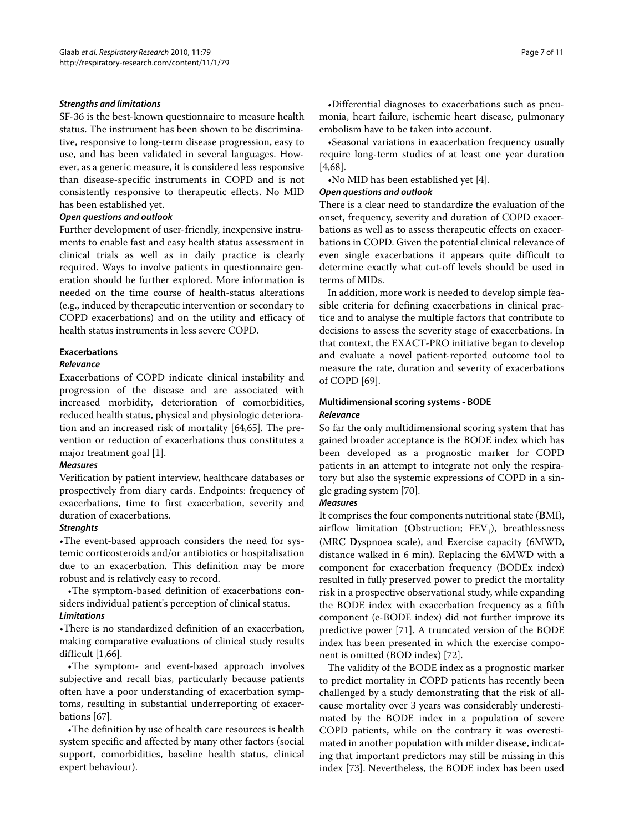## **Strengths and limitations**

SF-36 is the best-known questionnaire to measure health status. The instrument has been shown to be discriminative, responsive to long-term disease progression, easy to use, and has been validated in several languages. However, as a generic measure, it is considered less responsive than disease-specific instruments in COPD and is not consistently responsive to therapeutic effects. No MID has been established yet.

## **Open questions and outlook**

Further development of user-friendly, inexpensive instruments to enable fast and easy health status assessment in clinical trials as well as in daily practice is clearly required. Ways to involve patients in questionnaire generation should be further explored. More information is needed on the time course of health-status alterations (e.g., induced by therapeutic intervention or secondary to COPD exacerbations) and on the utility and efficacy of health status instruments in less severe COPD.

## **Exacerbations**

## **Relevance**

Exacerbations of COPD indicate clinical instability and progression of the disease and are associated with increased morbidity, deterioration of comorbidities, reduced health status, physical and physiologic deterioration and an increased risk of mortality [[64,](#page-9-30)[65\]](#page-9-31). The prevention or reduction of exacerbations thus constitutes a major treatment goal [\[1](#page-8-0)].

## **Measures**

Verification by patient interview, healthcare databases or prospectively from diary cards. Endpoints: frequency of exacerbations, time to first exacerbation, severity and duration of exacerbations.

## **Strenghts**

•The event-based approach considers the need for systemic corticosteroids and/or antibiotics or hospitalisation due to an exacerbation. This definition may be more robust and is relatively easy to record.

•The symptom-based definition of exacerbations considers individual patient's perception of clinical status.

## **Limitations**

•There is no standardized definition of an exacerbation, making comparative evaluations of clinical study results difficult [\[1](#page-8-0),[66](#page-9-32)].

•The symptom- and event-based approach involves subjective and recall bias, particularly because patients often have a poor understanding of exacerbation symptoms, resulting in substantial underreporting of exacerbations [[67\]](#page-9-33).

•The definition by use of health care resources is health system specific and affected by many other factors (social support, comorbidities, baseline health status, clinical expert behaviour).

embolism have to be taken into account. •Seasonal variations in exacerbation frequency usually require long-term studies of at least one year duration [[4,](#page-8-3)[68\]](#page-9-34).

•No MID has been established yet [\[4](#page-8-3)].

## **Open questions and outlook**

There is a clear need to standardize the evaluation of the onset, frequency, severity and duration of COPD exacerbations as well as to assess therapeutic effects on exacerbations in COPD. Given the potential clinical relevance of even single exacerbations it appears quite difficult to determine exactly what cut-off levels should be used in terms of MIDs.

In addition, more work is needed to develop simple feasible criteria for defining exacerbations in clinical practice and to analyse the multiple factors that contribute to decisions to assess the severity stage of exacerbations. In that context, the EXACT-PRO initiative began to develop and evaluate a novel patient-reported outcome tool to measure the rate, duration and severity of exacerbations of COPD [[69\]](#page-9-35).

## **Multidimensional scoring systems - BODE Relevance**

So far the only multidimensional scoring system that has gained broader acceptance is the BODE index which has been developed as a prognostic marker for COPD patients in an attempt to integrate not only the respiratory but also the systemic expressions of COPD in a single grading system [[70\]](#page-9-36).

## **Measures**

It comprises the four components nutritional state (**B**MI), airflow limitation (Obstruction;  $FEV<sub>1</sub>$ ), breathlessness (MRC **D**yspnoea scale), and **E**xercise capacity (6MWD, distance walked in 6 min). Replacing the 6MWD with a component for exacerbation frequency (BODEx index) resulted in fully preserved power to predict the mortality risk in a prospective observational study, while expanding the BODE index with exacerbation frequency as a fifth component (e-BODE index) did not further improve its predictive power [[71](#page-9-37)]. A truncated version of the BODE index has been presented in which the exercise component is omitted (BOD index) [[72](#page-9-38)].

The validity of the BODE index as a prognostic marker to predict mortality in COPD patients has recently been challenged by a study demonstrating that the risk of allcause mortality over 3 years was considerably underestimated by the BODE index in a population of severe COPD patients, while on the contrary it was overestimated in another population with milder disease, indicating that important predictors may still be missing in this index [\[73](#page-9-39)]. Nevertheless, the BODE index has been used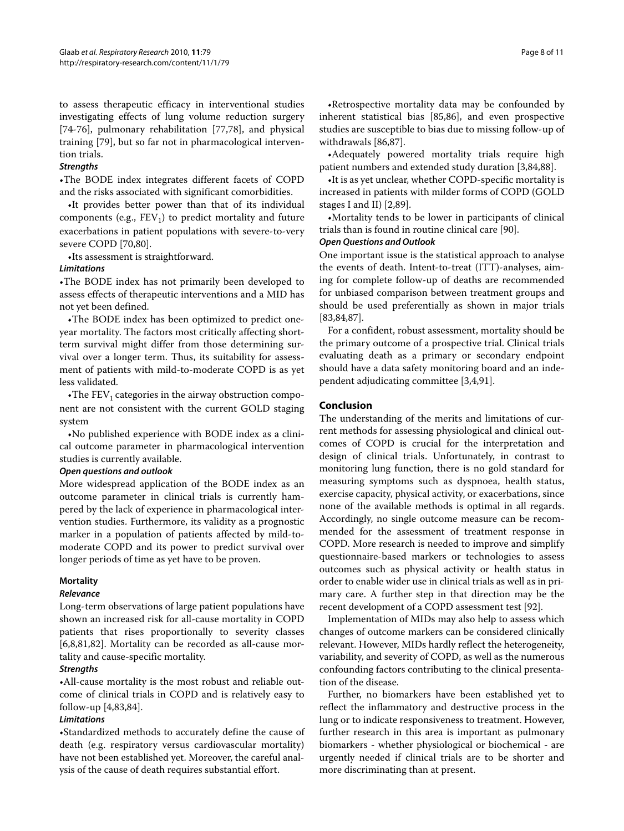to assess therapeutic efficacy in interventional studies investigating effects of lung volume reduction surgery [[74-](#page-9-40)[76](#page-9-41)], pulmonary rehabilitation [[77,](#page-10-0)[78\]](#page-10-1), and physical training [[79\]](#page-10-2), but so far not in pharmacological intervention trials.

## **Strengths**

•The BODE index integrates different facets of COPD and the risks associated with significant comorbidities.

•It provides better power than that of its individual components (e.g.,  $FEV<sub>1</sub>$ ) to predict mortality and future exacerbations in patient populations with severe-to-very severe COPD [\[70](#page-9-36)[,80](#page-10-3)].

•Its assessment is straightforward.

## **Limitations**

•The BODE index has not primarily been developed to assess effects of therapeutic interventions and a MID has not yet been defined.

•The BODE index has been optimized to predict oneyear mortality. The factors most critically affecting shortterm survival might differ from those determining survival over a longer term. Thus, its suitability for assessment of patients with mild-to-moderate COPD is as yet less validated.

•The  $FEV<sub>1</sub>$  categories in the airway obstruction component are not consistent with the current GOLD staging system

•No published experience with BODE index as a clinical outcome parameter in pharmacological intervention studies is currently available.

## **Open questions and outlook**

More widespread application of the BODE index as an outcome parameter in clinical trials is currently hampered by the lack of experience in pharmacological intervention studies. Furthermore, its validity as a prognostic marker in a population of patients affected by mild-tomoderate COPD and its power to predict survival over longer periods of time as yet have to be proven.

## **Mortality**

## **Relevance**

Long-term observations of large patient populations have shown an increased risk for all-cause mortality in COPD patients that rises proportionally to severity classes [[6,](#page-8-5)[8](#page-8-6)[,81](#page-10-4)[,82](#page-10-5)]. Mortality can be recorded as all-cause mortality and cause-specific mortality.

## **Strengths**

•All-cause mortality is the most robust and reliable outcome of clinical trials in COPD and is relatively easy to follow-up [[4,](#page-8-3)[83,](#page-10-6)[84\]](#page-10-7).

## **Limitations**

•Standardized methods to accurately define the cause of death (e.g. respiratory versus cardiovascular mortality) have not been established yet. Moreover, the careful analysis of the cause of death requires substantial effort.

withdrawals [[86,](#page-10-9)[87\]](#page-10-10). •Adequately powered mortality trials require high patient numbers and extended study duration [\[3](#page-8-2),[84](#page-10-7),[88](#page-10-11)].

•It is as yet unclear, whether COPD-specific mortality is increased in patients with milder forms of COPD (GOLD stages I and II) [[2](#page-8-1)[,89](#page-10-12)].

•Mortality tends to be lower in participants of clinical trials than is found in routine clinical care [\[90](#page-10-13)].

## **Open Questions and Outlook**

One important issue is the statistical approach to analyse the events of death. Intent-to-treat (ITT)-analyses, aiming for complete follow-up of deaths are recommended for unbiased comparison between treatment groups and should be used preferentially as shown in major trials [[83,](#page-10-6)[84,](#page-10-7)[87\]](#page-10-10).

For a confident, robust assessment, mortality should be the primary outcome of a prospective trial. Clinical trials evaluating death as a primary or secondary endpoint should have a data safety monitoring board and an independent adjudicating committee [[3,](#page-8-2)[4](#page-8-3)[,91\]](#page-10-14).

## **Conclusion**

The understanding of the merits and limitations of current methods for assessing physiological and clinical outcomes of COPD is crucial for the interpretation and design of clinical trials. Unfortunately, in contrast to monitoring lung function, there is no gold standard for measuring symptoms such as dyspnoea, health status, exercise capacity, physical activity, or exacerbations, since none of the available methods is optimal in all regards. Accordingly, no single outcome measure can be recommended for the assessment of treatment response in COPD. More research is needed to improve and simplify questionnaire-based markers or technologies to assess outcomes such as physical activity or health status in order to enable wider use in clinical trials as well as in primary care. A further step in that direction may be the recent development of a COPD assessment test [\[92\]](#page-10-15).

Implementation of MIDs may also help to assess which changes of outcome markers can be considered clinically relevant. However, MIDs hardly reflect the heterogeneity, variability, and severity of COPD, as well as the numerous confounding factors contributing to the clinical presentation of the disease.

Further, no biomarkers have been established yet to reflect the inflammatory and destructive process in the lung or to indicate responsiveness to treatment. However, further research in this area is important as pulmonary biomarkers - whether physiological or biochemical - are urgently needed if clinical trials are to be shorter and more discriminating than at present.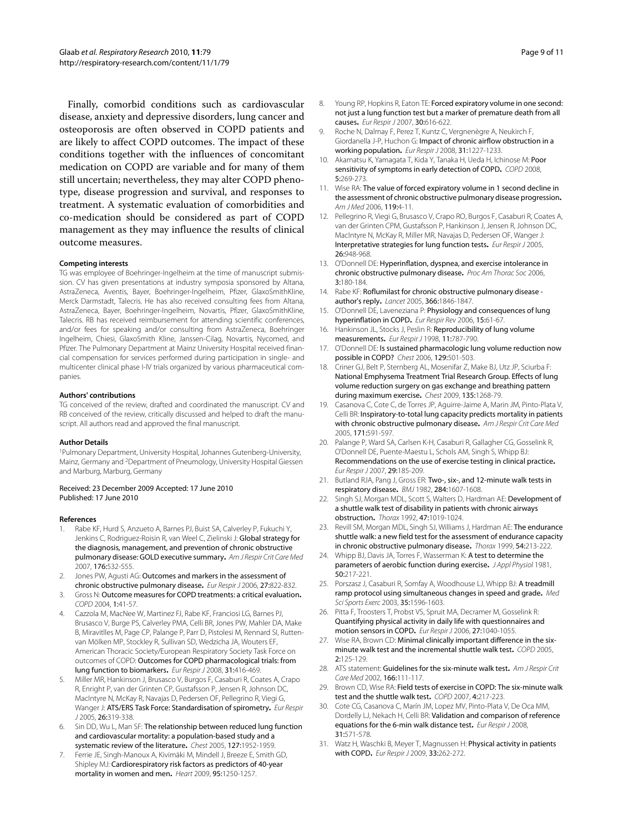Finally, comorbid conditions such as cardiovascular disease, anxiety and depressive disorders, lung cancer and osteoporosis are often observed in COPD patients and are likely to affect COPD outcomes. The impact of these conditions together with the influences of concomitant medication on COPD are variable and for many of them still uncertain; nevertheless, they may alter COPD phenotype, disease progression and survival, and responses to treatment. A systematic evaluation of comorbidities and co-medication should be considered as part of COPD management as they may influence the results of clinical outcome measures.

#### **Competing interests**

TG was employee of Boehringer-Ingelheim at the time of manuscript submission. CV has given presentations at industry symposia sponsored by Altana, AstraZeneca, Aventis, Bayer, Boehringer-Ingelheim, Pfizer, GlaxoSmithKline, Merck Darmstadt, Talecris. He has also received consulting fees from Altana, AstraZeneca, Bayer, Boehringer-Ingelheim, Novartis, Pfizer, GlaxoSmithKline, Talecris. RB has received reimbursement for attending scientific conferences, and/or fees for speaking and/or consulting from AstraZeneca, Boehringer Ingelheim, Chiesi, GlaxoSmith Kline, Janssen-Cilag, Novartis, Nycomed, and Pfizer. The Pulmonary Department at Mainz University Hospital received financial compensation for services performed during participation in single- and multicenter clinical phase I-IV trials organized by various pharmaceutical companies.

#### **Authors' contributions**

TG conceived of the review, drafted and coordinated the manuscript. CV and RB conceived of the review, critically discussed and helped to draft the manuscript. All authors read and approved the final manuscript.

#### **Author Details**

1Pulmonary Department, University Hospital, Johannes Gutenberg-University, Mainz, Germany and 2Department of Pneumology, University Hospital Giessen and Marburg, Marburg, Germany

#### Received: 23 December 2009 Accepted: 17 June 2010 Published: 17 June 2010

#### **References**

- <span id="page-8-0"></span>Rabe KF, Hurd S, Anzueto A, Barnes PJ, Buist SA, Calverley P, Fukuchi Y, Jenkins C, Rodriguez-Roisin R, van Weel C, Zielinski J: Global strategy for the diagnosis, management, and prevention of chronic obstructive pulmonary disease: GOLD executive summary**.** Am J Respir Crit Care Med 2007, 176:532-555.
- <span id="page-8-1"></span>2. Jones PW, Agusti AG: Outcomes and markers in the assessment of chronic obstructive pulmonary disease**.** Eur Respir J 2006, 27:822-832.
- <span id="page-8-2"></span>3. Gross N: Outcome measures for COPD treatments: a critical evaluation**.** COPD 2004, 1:41-57.
- <span id="page-8-3"></span>4. Cazzola M, MacNee W, Martinez FJ, Rabe KF, Franciosi LG, Barnes PJ, Brusasco V, Burge PS, Calverley PMA, Celli BR, Jones PW, Mahler DA, Make B, Miravitlles M, Page CP, Palange P, Parr D, Pistolesi M, Rennard SI, Ruttenvan Mölken MP, Stockley R, Sullivan SD, Wedzicha JA, Wouters EF, American Thoracic Society/European Respiratory Society Task Force on outcomes of COPD: Outcomes for COPD pharmacological trials: from lung function to biomarkers**.** Eur Respir J 2008, 31:416-469.
- <span id="page-8-4"></span>5. Miller MR, Hankinson J, Brusasco V, Burgos F, Casaburi R, Coates A, Crapo R, Enright P, van der Grinten CP, Gustafsson P, Jensen R, Johnson DC, MacIntyre N, McKay R, Navajas D, Pedersen OF, Pellegrino R, Viegi G, Wanger J: ATS/ERS Task Force: Standardisation of spirometry**.** Eur Respir J 2005, 26:319-338.
- <span id="page-8-5"></span>6. Sin DD, Wu L, Man SF: The relationship between reduced lung function and cardiovascular mortality: a population-based study and a systematic review of the literature**.** Chest 2005, 127:1952-1959.
- 7. Ferrie JE, Singh-Manoux A, Kivimäki M, Mindell J, Breeze E, Smith GD, Shipley MJ: Cardiorespiratory risk factors as predictors of 40-year mortality in women and men**[.](http://www.ncbi.nlm.nih.gov/entrez/query.fcgi?cmd=Retrieve&db=PubMed&dopt=Abstract&list_uids=19389720)** Heart 2009, 95:1250-1257.
- <span id="page-8-6"></span>8. Young RP, Hopkins R, Eaton TE: Forced expiratory volume in one second: not just a lung function test but a marker of premature death from all cause[s](http://www.ncbi.nlm.nih.gov/entrez/query.fcgi?cmd=Retrieve&db=PubMed&dopt=Abstract&list_uids=17906084)**.** Eur Respir J 2007, 30:616-622.
- <span id="page-8-7"></span>9. Roche N, Dalmay F, Perez T, Kuntz C, Vergnenègre A, Neukirch F, Giordanella J-P, Huchon G: Impact of chronic airflow obstruction in a working population**.** Eur Respir J 2008, 31:1227-1233.
- <span id="page-8-8"></span>10. Akamatsu K, Yamagata T, Kida Y, Tanaka H, Ueda H, Ichinose M: Poor sensitivity of symptoms in early detection of COPD**.** COPD 2008, 5:269-273.
- <span id="page-8-9"></span>11. Wise RA: The value of forced expiratory volume in 1 second decline in the assessment of chronic obstructive pulmonary disease progression**.** Am J Med 2006, 119:4-11.
- <span id="page-8-10"></span>12. Pellegrino R, Viegi G, Brusasco V, Crapo RO, Burgos F, Casaburi R, Coates A, van der Grinten CPM, Gustafsson P, Hankinson J, Jensen R, Johnson DC, MacIntyre N, McKay R, Miller MR, Navajas D, Pedersen OF, Wanger J: Interpretative strategies for lung function tests**[.](http://www.ncbi.nlm.nih.gov/entrez/query.fcgi?cmd=Retrieve&db=PubMed&dopt=Abstract&list_uids=16264058)** Eur Respir J 2005, 26:948-968.
- <span id="page-8-11"></span>13. O'Donnell DE: Hyperinflation, dyspnea, and exercise intolerance in chronic obstructive pulmonary disease**.** Proc Am Thorac Soc 2006, 3:180-184.
- <span id="page-8-12"></span>14. Rabe KF: Roflumilast for chronic obstructive pulmonary disease author's reply**.** Lancet 2005, 366:1846-1847.
- <span id="page-8-13"></span>15. O'Donnell DE, Laveneziana P: Physiology and consequences of lung hyperinflation in COPD**.** Eur Respir Rev 2006, 15:61-67.
- <span id="page-8-14"></span>16. Hankinson JL, Stocks J, Peslin R: Reproducibility of lung volume measurements**.** Eur Respir J 1998, 11:787-790.
- <span id="page-8-15"></span>17. O'Donnell DE: Is sustained pharmacologic lung volume reduction now possible in COPD? Chest 2006, 129:501-503.
- <span id="page-8-16"></span>18. Criner GJ, Belt P, Sternberg AL, Mosenifar Z, Make BJ, Utz JP, Sciurba F: National Emphysema Treatment Trial Research Group. Effects of lung volume reduction surgery on gas exchange and breathing pattern during maximum exercise**.** Chest 2009, 135:1268-79.
- <span id="page-8-17"></span>19. Casanova C, Cote C, de Torres JP, Aguirre-Jaime A, Marin JM, Pinto-Plata V, Celli BR: Inspiratory-to-total lung capacity predicts mortality in patients with chronic obstructive pulmonary disease**.** Am J Respir Crit Care Med 2005, 171:591-597.
- <span id="page-8-18"></span>20. Palange P, Ward SA, Carlsen K-H, Casaburi R, Gallagher CG, Gosselink R, O'Donnell DE, Puente-Maestu L, Schols AM, Singh S, Whipp BJ: Recommendations on the use of exercise testing in clinical practice**.** Eur Respir J 2007, 29:185-209.
- <span id="page-8-19"></span>21. Butland RJA, Pang J, Gross ER: Two-, six-, and 12-minute walk tests in respiratory disease**.** BMJ 1982, 284:1607-1608.
- <span id="page-8-20"></span>22. Singh SJ, Morgan MDL, Scott S, Walters D, Hardman AE: Development of a shuttle walk test of disability in patients with chronic airways obstruction**.** Thorax 1992, 47:1019-1024.
- <span id="page-8-21"></span>23. Revill SM, Morgan MDL, Singh SJ, Williams J, Hardman AE: The endurance shuttle walk: a new field test for the assessment of endurance capacity in chronic obstructive pulmonary disease**.** Thorax 1999, 54:213-222.
- <span id="page-8-22"></span>24. Whipp BJ, Davis JA, Torres F, Wasserman K: A test to determine the parameters of aerobic function during exercise**.** J Appl Physiol 1981, 50:217-221.
- <span id="page-8-23"></span>25. Porszasz J, Casaburi R, Somfay A, Woodhouse LJ, Whipp BJ: A treadmill ramp protocol using simultaneous changes in speed and grade**.** Med Sci Sports Exerc 2003, 35:1596-1603.
- <span id="page-8-24"></span>26. Pitta F, Troosters T, Probst VS, Spruit MA, Decramer M, Gosselink R: Quantifying physical activity in daily life with questionnaires and motion sensors in COPD**.** Eur Respir J 2006, 27:1040-1055.
- <span id="page-8-25"></span>27. Wise RA, Brown CD: Minimal clinically important difference in the sixminute walk test and the incremental shuttle walk test**[.](http://www.ncbi.nlm.nih.gov/entrez/query.fcgi?cmd=Retrieve&db=PubMed&dopt=Abstract&list_uids=17136972)** COPD 2005, 2:125-129.
- <span id="page-8-26"></span>28. ATS statement: Guidelines for the six-minute walk test**.** Am J Respir Crit Care Med 2002, 166:111-117.
- <span id="page-8-27"></span>29. Brown CD, Wise RA: Field tests of exercise in COPD: The six-minute walk test and the shuttle walk test**[.](http://www.ncbi.nlm.nih.gov/entrez/query.fcgi?cmd=Retrieve&db=PubMed&dopt=Abstract&list_uids=17729065)** COPD 2007, 4:217-223.
- <span id="page-8-28"></span>30. Cote CG, Casanova C, Marín JM, Lopez MV, Pinto-Plata V, De Oca MM, Dordelly LJ, Nekach H, Celli BR: Validation and comparison of reference equations for the 6-min walk distance test**.** Eur Respir J 2008, 31:571-578.
- <span id="page-8-29"></span>31. Watz H, Waschki B, Meyer T, Magnussen H: Physical activity in patients with COPD**.** Eur Respir J 2009, 33:262-272.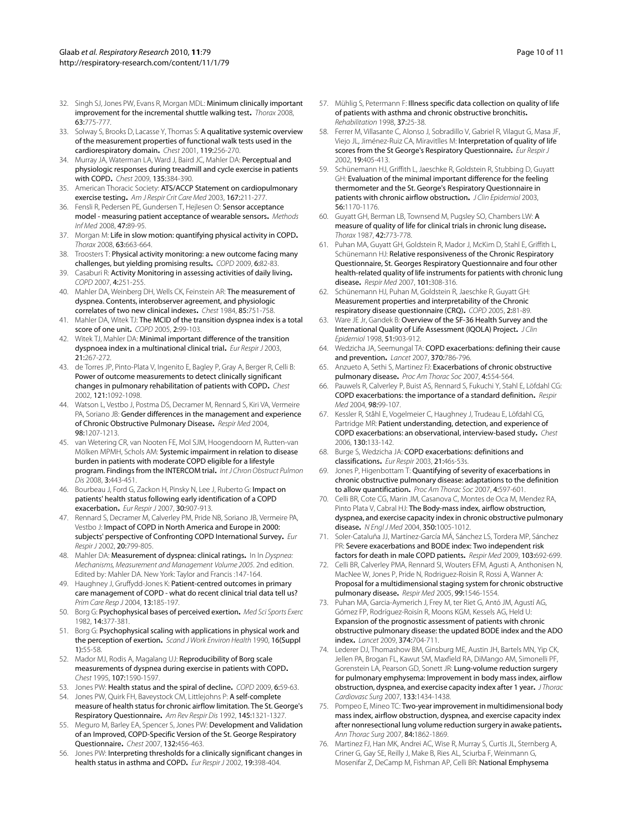- <span id="page-9-0"></span>32. Singh SJ, Jones PW, Evans R, Morgan MDL: Minimum clinically important improvement for the incremental shuttle walking test**.** Thorax 2008, 63:775-777.
- <span id="page-9-1"></span>33. Solway S, Brooks D, Lacasse Y, Thomas S: A qualitative systemic overview of the measurement properties of functional walk tests used in the cardiorespiratory domain**.** Chest 2001, 119:256-270.
- <span id="page-9-2"></span>34. Murray JA, Waterman LA, Ward J, Baird JC, Mahler DA: Perceptual and physiologic responses during treadmill and cycle exercise in patients with COPD**[.](http://www.ncbi.nlm.nih.gov/entrez/query.fcgi?cmd=Retrieve&db=PubMed&dopt=Abstract&list_uids=18753470)** Chest 2009, 135:384-390.
- <span id="page-9-3"></span>35. American Thoracic Society: ATS/ACCP Statement on cardiopulmonary exercise testing**.** Am J Respir Crit Care Med 2003, 167:211-277.
- <span id="page-9-4"></span>36. Fensli R, Pedersen PE, Gundersen T, Hejlesen O: Sensor acceptance model - measuring patient acceptance of wearable sensors**.** Methods Inf Med 2008, 47:89-95.
- <span id="page-9-5"></span>37. Morgan M: Life in slow motion: quantifying physical activity in COPD**[.](http://www.ncbi.nlm.nih.gov/entrez/query.fcgi?cmd=Retrieve&db=PubMed&dopt=Abstract&list_uids=18663063)** Thorax 2008, 63:663-664.
- <span id="page-9-6"></span>38. Troosters T: Physical activity monitoring: a new outcome facing many challenges, but yielding promising results**.** COPD 2009, 6:82-83.
- <span id="page-9-7"></span>39. Casaburi R: Activity Monitoring in assessing activities of daily living**.** COPD 2007, 4:251-255.
- <span id="page-9-8"></span>40. Mahler DA, Weinberg DH, Wells CK, Feinstein AR: The measurement of dyspnea. Contents, interobserver agreement, and physiologic correlates of two new clinical indexes**[.](http://www.ncbi.nlm.nih.gov/entrez/query.fcgi?cmd=Retrieve&db=PubMed&dopt=Abstract&list_uids=6723384)** Chest 1984, 85:751-758.
- <span id="page-9-9"></span>41. Mahler DA, Witek TJ: The MCID of the transition dyspnea index is a total score of one unit**.** COPD 2005, 2:99-103.
- <span id="page-9-10"></span>42. Witek TJ, Mahler DA: Minimal important difference of the transition dyspnoea index in a multinational clinical trial**.** Eur Respir J 2003, 21:267-272.
- <span id="page-9-11"></span>43. de Torres JP, Pinto-Plata V, Ingenito E, Bagley P, Gray A, Berger R, Celli B: Power of outcome measurements to detect clinically significant changes in pulmonary rehabilitation of patients with COPD**.** Chest 2002, 121:1092-1098.
- 44. Watson L, Vestbo J, Postma DS, Decramer M, Rennard S, Kiri VA, Vermeire PA, Soriano JB: Gender differences in the management and experience of Chronic Obstructive Pulmonary Disease**.** Respir Med 2004, 98:1207-1213.
- 45. van Wetering CR, van Nooten FE, Mol SJM, Hoogendoorn M, Rutten-van Mölken MPMH, Schols AM: Systemic impairment in relation to disease burden in patients with moderate COPD eligible for a lifestyle program. Findings from the INTERCOM trial**.** Int J Chron Obstruct Pulmon Dis 2008, 3:443-451.
- <span id="page-9-12"></span>46. Bourbeau J, Ford G, Zackon H, Pinsky N, Lee J, Ruberto G: Impact on patients' health status following early identification of a COPD exacerbation**[.](http://www.ncbi.nlm.nih.gov/entrez/query.fcgi?cmd=Retrieve&db=PubMed&dopt=Abstract&list_uids=17715163)** Eur Respir J 2007, 30:907-913.
- <span id="page-9-13"></span>47. Rennard S, Decramer M, Calverley PM, Pride NB, Soriano JB, Vermeire PA, Vestbo J: Impact of COPD in North America and Europe in 2000: subjects' perspective of Confronting COPD International Survey**.** Eur Respir J 2002, 20:799-805.
- <span id="page-9-14"></span>48. Mahler DA: Measurement of dyspnea: clinical ratings**.** In In Dyspnea: Mechanisms, Measurement and Management Volume 2005. 2nd edition. Edited by: Mahler DA. New York: Taylor and Francis :147-164.
- <span id="page-9-15"></span>49. Haughney J, Gruffydd-Jones K: Patient-centred outcomes in primary care management of COPD - what do recent clinical trial data tell us? Prim Care Resp J 2004, 13:185-197.
- <span id="page-9-16"></span>50. Borg G: Psychophysical bases of perceived exertion**.** Med Sci Sports Exerc 1982, 14:377-381.
- <span id="page-9-17"></span>51. Borg G: Psychophysical scaling with applications in physical work and the perception of exertion**.** Scand J Work Environ Health 1990, 16(Suppl 1):55-58.
- <span id="page-9-18"></span>52. Mador MJ, Rodis A, Magalang UJ: Reproducibility of Borg scale measurements of dyspnea during exercise in patients with COPD**.** Chest 1995, 107:1590-1597.
- <span id="page-9-20"></span><span id="page-9-19"></span>53. Jones PW: Health status and the spiral of decline**.** COPD 2009, 6:59-63. 54. Jones PW, Quirk FH, Baveystock CM, Littlejohns P: A self-complete
- measure of health status for chronic airflow limitation. The St. George's Respiratory Questionnaire**.** Am Rev Respir Dis 1992, 145:1321-1327.
- <span id="page-9-21"></span>55. Meguro M, Barley EA, Spencer S, Jones PW: Development and Validation of an Improved, COPD-Specific Version of the St. George Respiratory Questionnaire**.** Chest 2007, 132:456-463.
- <span id="page-9-22"></span>56. Jones PW: Interpreting thresholds for a clinically significant changes in health status in asthma and COPD**[.](http://www.ncbi.nlm.nih.gov/entrez/query.fcgi?cmd=Retrieve&db=PubMed&dopt=Abstract&list_uids=11936514)** Eur Respir J 2002, 19:398-404.
- <span id="page-9-23"></span>57. Mühlig S, Petermann F: Illness specific data collection on quality of life of patients with asthma and chronic obstructive bronchitis**.** Rehabilitation 1998, 37:25-38.
- <span id="page-9-24"></span>58. Ferrer M, Villasante C, Alonso J, Sobradillo V, Gabriel R, Vilagut G, Masa JF, Viejo JL, Jiménez-Ruiz CA, Miravitlles M: Interpretation of quality of life scores from the St George's Respiratory Questionnaire**[.](http://www.ncbi.nlm.nih.gov/entrez/query.fcgi?cmd=Retrieve&db=PubMed&dopt=Abstract&list_uids=11936515)** Eur Respir J 2002, 19:405-413.
- <span id="page-9-25"></span>59. Schünemann HJ, Griffith L, Jaeschke R, Goldstein R, Stubbing D, Guyatt GH: Evaluation of the minimal important difference for the feeling thermometer and the St. George's Respiratory Questionnaire in patients with chronic airflow obstruction**.** J Clin Epidemiol 2003, 56:1170-1176.
- <span id="page-9-26"></span>60. Guyatt GH, Berman LB, Townsend M, Pugsley SO, Chambers LW: A measure of quality of life for clinical trials in chronic lung disease**.** Thorax 1987, 42:773-778.
- <span id="page-9-27"></span>61. Puhan MA, Guyatt GH, Goldstein R, Mador J, McKim D, Stahl E, Griffith L, Schünemann HJ: Relative responsiveness of the Chronic Respiratory Questionnaire, St. Georges Respiratory Questionnaire and four other health-related quality of life instruments for patients with chronic lung disease**.** Respir Med 2007, 101:308-316.
- <span id="page-9-28"></span>62. Schünemann HJ, Puhan M, Goldstein R, Jaeschke R, Guyatt GH: Measurement properties and interpretability of the Chronic respiratory disease questionnaire (CRQ)**.** COPD 2005, 2:81-89.
- <span id="page-9-29"></span>63. Ware JE Jr, Gandek B: Overview of the SF-36 Health Survey and the International Quality of Life Assessment (IQOLA) Project**.** J Clin Epidemiol 1998, 51:903-912.
- <span id="page-9-30"></span>64. Wedzicha JA, Seemungal TA: COPD exacerbations: defining their cause and prevention**.** Lancet 2007, 370:786-796.
- <span id="page-9-31"></span>65. Anzueto A, Sethi S, Martinez FJ: Exacerbations of chronic obstructive pulmonary disease**.** Proc Am Thorac Soc 2007, 4:554-564.
- <span id="page-9-32"></span>66. Pauwels R, Calverley P, Buist AS, Rennard S, Fukuchi Y, Stahl E, Löfdahl CG: COPD exacerbations: the importance of a standard definition**.** Respir Med 2004, 98:99-107.
- <span id="page-9-33"></span>67. Kessler R, Ståhl E, Vogelmeier C, Haughney J, Trudeau E, Löfdahl CG, Partridge MR: Patient understanding, detection, and experience of COPD exacerbations: an observational, interview-based study**.** Chest 2006, 130:133-142.
- <span id="page-9-34"></span>68. Burge S, Wedzicha JA: COPD exacerbations: definitions and classifications**.** Eur Respir 2003, 21:46s-53s.
- <span id="page-9-35"></span>69. Jones P, Higenbottam T: Quantifying of severity of exacerbations in chronic obstructive pulmonary disease: adaptations to the definition to allow quantification**.** Proc Am Thorac Soc 2007, 4:597-601.
- <span id="page-9-36"></span>70. Celli BR, Cote CG, Marin JM, Casanova C, Montes de Oca M, Mendez RA, Pinto Plata V, Cabral HJ: The Body-mass index, airflow obstruction, dyspnea, and exercise capacity index in chronic obstructive pulmonary disease. N Fnal *J Med* 2004, 350:1005-1012.
- <span id="page-9-37"></span>71. Soler-Cataluña JJ, Martínez-García MÁ, Sánchez LS, Tordera MP, Sánchez PR: Severe exacerbations and BODE index: Two independent risk factors for death in male COPD patients**.** Respir Med 2009, 103:692-699.
- <span id="page-9-38"></span>72. Celli BR, Calverley PMA, Rennard SI, Wouters EFM, Agusti A, Anthonisen N, MacNee W, Jones P, Pride N, Rodriguez-Roisin R, Rossi A, Wanner A: Proposal for a multidimensional staging system for chronic obstructive pulmonary disease**.** Respir Med 2005, 99:1546-1554.
- <span id="page-9-39"></span>73. Puhan MA, Garcia-Aymerich J, Frey M, ter Riet G, Antó JM, Agustí AG, Gómez FP, Rodríguez-Roisín R, Moons KGM, Kessels AG, Held U: Expansion of the prognostic assessment of patients with chronic obstructive pulmonary disease: the updated BODE index and the ADO index**.** Lancet 2009, 374:704-711.
- <span id="page-9-40"></span>74. Lederer DJ, Thomashow BM, Ginsburg ME, Austin JH, Bartels MN, Yip CK, Jellen PA, Brogan FL, Kawut SM, Maxfield RA, DiMango AM, Simonelli PF, Gorenstein LA, Pearson GD, Sonett JR: Lung-volume reduction surgery for pulmonary emphysema: Improvement in body mass index, airflow obstruction, dyspnea, and exercise capacity index after 1 year**.** J Thorac Cardiovasc Surg 2007, 133:1434-1438.
- 75. Pompeo E, Mineo TC: Two-year improvement in multidimensional body mass index, airflow obstruction, dyspnea, and exercise capacity index after nonresectional lung volume reduction surgery in awake patients**.** Ann Thorac Surg 2007, 84:1862-1869.
- <span id="page-9-41"></span>76. Martinez FJ, Han MK, Andrei AC, Wise R, Murray S, Curtis JL, Sternberg A, Criner G, Gay SE, Reilly J, Make B, Ries AL, Sciurba F, Weinmann G, Mosenifar Z, DeCamp M, Fishman AP, Celli BR: National Emphysema